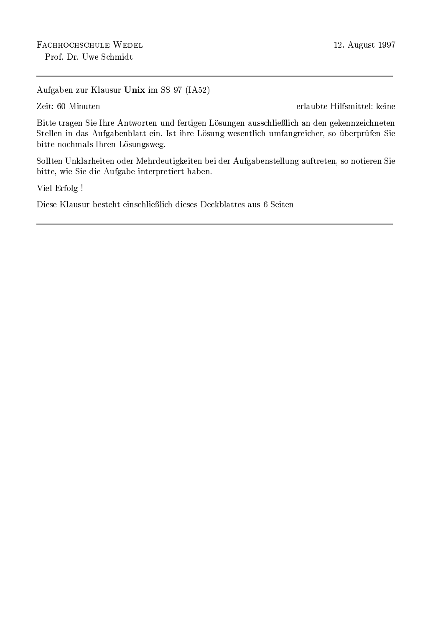Aufgaben zur Klausur Unix im SS 97 (IA52)

Zeit: 60 Minuten

erlaubte Hilfsmittel: keine

Bitte tragen Sie Ihre Antworten und fertigen Lösungen ausschließlich an den gekennzeichneten Stellen in das Aufgabenblatt ein. Ist ihre Lösung wesentlich umfangreicher, so überprüfen Sie bitte nochmals Ihren Lösungsweg.

Sollten Unklarheiten oder Mehrdeutigkeiten bei der Aufgabenstellung auftreten, so notieren Sie bitte, wie Sie die Aufgabe interpretiert haben.

Viel Erfolg!

Diese Klausur besteht einschließlich dieses Deckblattes aus 6 Seiten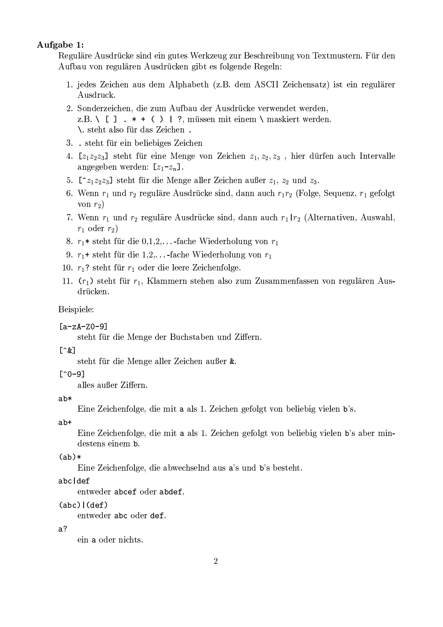## Aufgabe 1:

Reguläre Ausdrücke sind ein gutes Werkzeug zur Beschreibung von Textmustern. Für den Aufbau von regulären Ausdrücken gibt es folgende Regeln:

- 1. jedes Zeichen aus dem Alphabeth (z.B. dem ASCII Zeichensatz) ist ein regulärer Ausdruck.
- 2. Sonderzeichen, die zum Aufbau der Ausdrücke verwendet werden, z.B. \ [ ]  $.*$  + ( ) | ?, müssen mit einem \ maskiert werden. \. steht also für das Zeichen.
- 3. . steht für ein beliebiges Zeichen
- 4.  $[z_1z_2z_3]$  steht für eine Menge von Zeichen  $z_1, z_2, z_3$ , hier dürfen auch Intervalle angegeben werden:  $[z_1-z_n]$ .
- 5.  $[z_1z_2z_3]$  steht für die Menge aller Zeichen außer  $z_1$ ,  $z_2$  und  $z_3$ .
- 6. Wenn  $r_1$  und  $r_2$  reguläre Ausdrücke sind, dann auch  $r_1r_2$  (Folge, Sequenz,  $r_1$  gefolgt von  $r_2$ )
- 7. Wenn  $r_1$  und  $r_2$  reguläre Ausdrücke sind, dann auch  $r_1 | r_2$  (Alternativen, Auswahl,  $r_1$  oder  $r_2$ )
- 8.  $r_1$ \* steht für die 0,1,2,...-fache Wiederholung von  $r_1$
- 9.  $r_1$ + steht für die 1,2,...-fache Wiederholung von  $r_1$
- 10.  $r_1$ ? steht für  $r_1$  oder die leere Zeichenfolge.
- 11.  $(r_1)$  steht für  $r_1$ , Klammern stehen also zum Zusammenfassen von regulären Ausdrücken.

Beispiele:

 $[a-zA-Z0-9]$ 

steht für die Menge der Buchstaben und Ziffern.

#### $[^{\texttt{R}}]$

steht für die Menge aller Zeichen außer &.

#### $[^{\textdegree}0-9]$

alles außer Ziffern.

#### $ab*$

Eine Zeichenfolge, die mit a als 1. Zeichen gefolgt von beliebig vielen b's.

 $ab+$ 

Eine Zeichenfolge, die mit a als 1. Zeichen gefolgt von beliebig vielen b's aber mindestens einem b.

 $(ab)*$ 

Eine Zeichenfolge, die abwechselnd aus a's und b's besteht.

#### abc def

entweder abcef oder abdef.

### $(abc)$   $(def)$

entweder abc oder def.

#### $a<sup>2</sup>$

ein a oder nichts.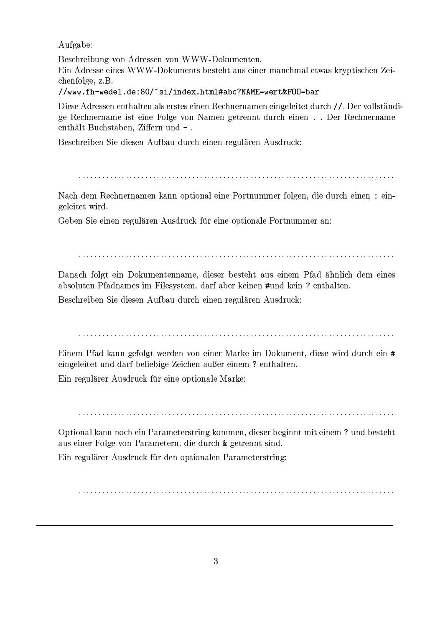Aufgabe:

Beschreibung von Adressen von WWW-Dokumenten. Ein Adresse eines WWW-Dokuments besteht aus einer manchmal etwas kryptischen Zeichenfolge, z.B.

//www.fh-wedel.de:80/~si/index.html#abc?NAME=wert&F00=bar

Diese Adressen enthalten als erstes einen Rechnernamen eingeleitet durch //. Der vollständige Rechnername ist eine Folge von Namen getrennt durch einen...Der Rechnername enthält Buchstaben, Ziffern und -.

Beschreiben Sie diesen Aufbau durch einen regulären Ausdruck:

Nach dem Rechnernamen kann optional eine Portnummer folgen, die durch einen : eingeleitet wird.

Geben Sie einen regulären Ausdruck für eine optionale Portnummer an:

Danach folgt ein Dokumentenname, dieser besteht aus einem Pfad ähnlich dem eines absoluten Pfadnames im Filesystem, darf aber keinen #und kein ? enthalten.

Beschreiben Sie diesen Aufbau durch einen regulären Ausdruck:

Einem Pfad kann gefolgt werden von einer Marke im Dokument, diese wird durch ein # eingeleitet und darf beliebige Zeichen außer einem ? enthalten.

Ein regulärer Ausdruck für eine optionale Marke:

Optional kann noch ein Parameterstring kommen, dieser beginnt mit einem? und besteht aus einer Folge von Parametern, die durch & getrennt sind.

Ein regulärer Ausdruck für den optionalen Parameterstring: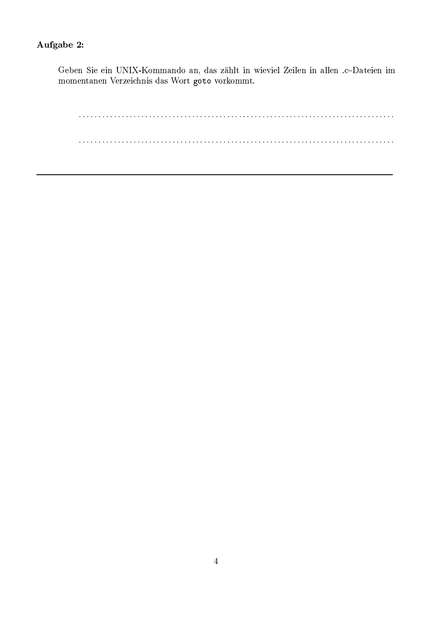# Aufgabe 2:

Geben Sie ein UNIX-Kommando an, das zählt in wieviel Zeilen in allen .c-Dateien im momentanen Verzeichnis das Wort goto vorkommt.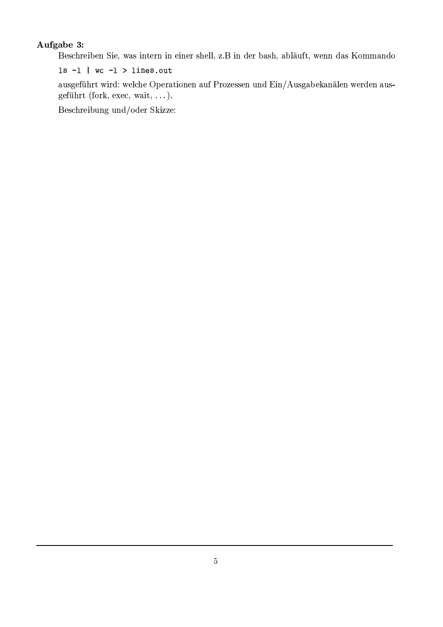# Aufgabe 3:

Beschreiben Sie, was intern in einer shell, z.B in der bash, abläuft, wenn das Kommando

 $ls -1$  | wc  $-1$  > lines.out

ausgeführt wird: welche Operationen auf Prozessen und Ein/Ausgabekanälen werden ausgeführt (fork, exec, wait, ...).

Beschreibung und/oder Skizze: